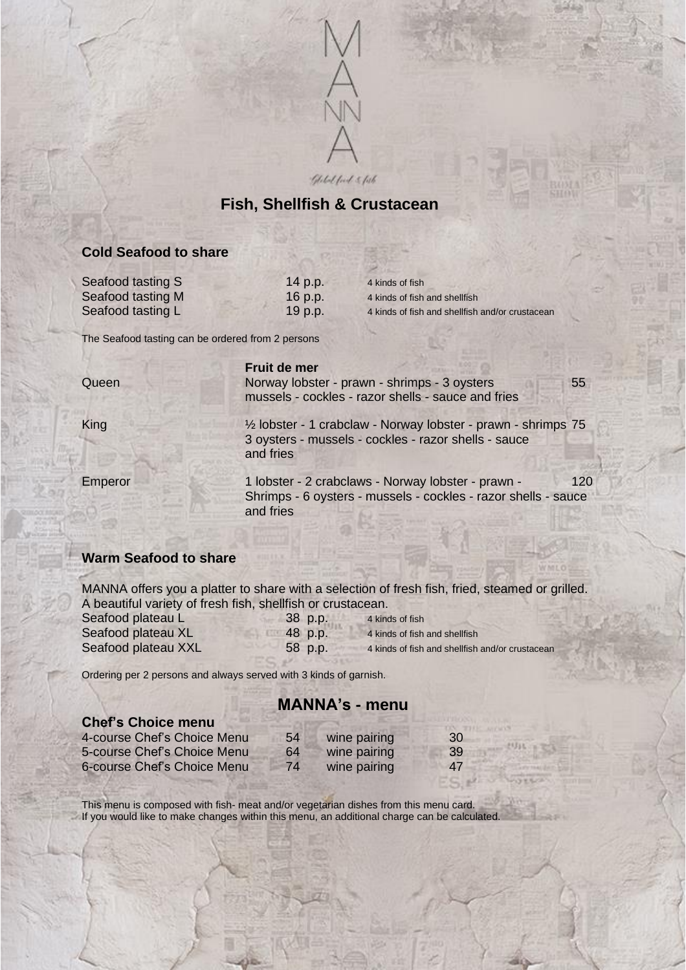

Global food & fish

## **Fish, Shellfish & Crustacean**

#### **Cold Seafood to share**

Seafood tasting S 14 p.p. 4 kinds of fish Seafood tasting M 16 p.p. 4 kinds of fish and shellfish

Seafood tasting L<br>19 p.p. 4 kinds of fish and shellfish and/or crustacean

The Seafood tasting can be ordered from 2 persons

**Fruit de mer**

Queen **Norway lobster - prawn - shrimps - 3 oysters** 55 mussels - cockles - razor shells - sauce and fries

King ½ lobster - 1 crabclaw - Norway lobster - prawn - shrimps 75

3 oysters - mussels - cockles - razor shells - sauce and fries Emperor 1 lobster - 2 crabclaws - Norway lobster - prawn - 120

Shrimps - 6 oysters - mussels - cockles - razor shells - sauce and fries

### **Warm Seafood to share**

MANNA offers you a platter to share with a selection of fresh fish, fried, steamed or grilled. A beautiful variety of fresh fish, shellfish or crustacean. Seafood plateau L 38 p.p. 4 kinds of fish Seafood plateau XL 48 p.p. 4 kinds of fish and shellfish Seafood plateau XXL 58 p.p. 4 kinds of fish and shellfish and/or crustacean

Ordering per 2 persons and always served with 3 kinds of garnish.

# **MANNA's - menu**

| <b>Chef's Choice menu</b>   |    |              |     |
|-----------------------------|----|--------------|-----|
| 4-course Chef's Choice Menu | 54 | wine pairing | .30 |
| 5-course Chef's Choice Menu | 64 | wine pairing | 39  |
| 6-course Chef's Choice Menu | 74 | wine pairing | 47  |

This menu is composed with fish- meat and/or vegetarian dishes from this menu card. If you would like to make changes within this menu, an additional charge can be calculated.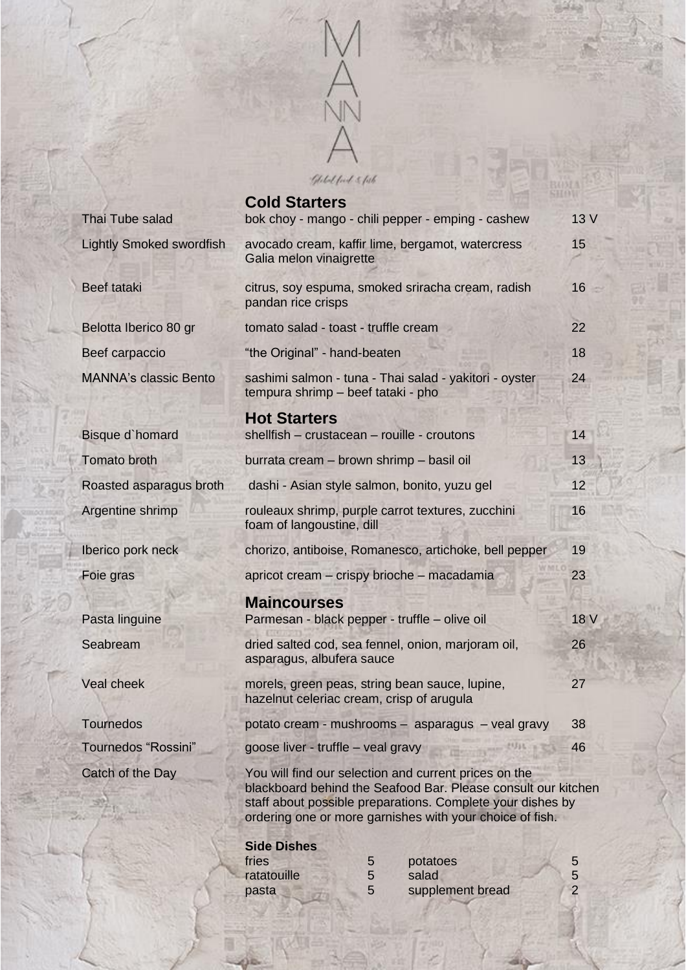

|                                 | <b>Cold Starters</b>                                                                                                                                                                                                                             | 13 V |  |
|---------------------------------|--------------------------------------------------------------------------------------------------------------------------------------------------------------------------------------------------------------------------------------------------|------|--|
| Thai Tube salad                 | bok choy - mango - chili pepper - emping - cashew                                                                                                                                                                                                |      |  |
| <b>Lightly Smoked swordfish</b> | avocado cream, kaffir lime, bergamot, watercress<br>Galia melon vinaigrette                                                                                                                                                                      |      |  |
| <b>Beef tataki</b>              | citrus, soy espuma, smoked sriracha cream, radish<br>pandan rice crisps                                                                                                                                                                          |      |  |
| Belotta Iberico 80 gr           | tomato salad - toast - truffle cream                                                                                                                                                                                                             |      |  |
| Beef carpaccio                  | "the Original" - hand-beaten                                                                                                                                                                                                                     |      |  |
| <b>MANNA's classic Bento</b>    | sashimi salmon - tuna - Thai salad - yakitori - oyster<br>tempura shrimp - beef tataki - pho                                                                                                                                                     |      |  |
|                                 | <b>Hot Starters</b>                                                                                                                                                                                                                              | 14   |  |
| Bisque d'homard                 | shellfish - crustacean - rouille - croutons                                                                                                                                                                                                      |      |  |
| <b>Tomato broth</b>             | burrata cream - brown shrimp - basil oil                                                                                                                                                                                                         |      |  |
| Roasted asparagus broth         | dashi - Asian style salmon, bonito, yuzu gel                                                                                                                                                                                                     |      |  |
| Argentine shrimp                | rouleaux shrimp, purple carrot textures, zucchini<br>foam of langoustine, dill                                                                                                                                                                   |      |  |
| Iberico pork neck               | chorizo, antiboise, Romanesco, artichoke, bell pepper                                                                                                                                                                                            |      |  |
| Foie gras                       | apricot cream – crispy brioche – macadamia                                                                                                                                                                                                       |      |  |
|                                 | <b>Maincourses</b>                                                                                                                                                                                                                               |      |  |
| Pasta linguine                  | Parmesan - black pepper - truffle - olive oil                                                                                                                                                                                                    | 18 V |  |
| Seabream                        | dried salted cod, sea fennel, onion, marjoram oil,<br>asparagus, albufera sauce                                                                                                                                                                  |      |  |
| <b>Veal cheek</b>               | morels, green peas, string bean sauce, lupine,<br>hazelnut celeriac cream, crisp of arugula                                                                                                                                                      |      |  |
| <b>Tournedos</b>                | potato cream - mushrooms - asparagus - veal gravy                                                                                                                                                                                                |      |  |
| <b>Tournedos "Rossini"</b>      | goose liver - truffle - veal gravy                                                                                                                                                                                                               |      |  |
| Catch of the Day                | You will find our selection and current prices on the<br>blackboard behind the Seafood Bar. Please consult our kitchen<br>staff about possible preparations. Complete your dishes by<br>ordering one or more garnishes with your choice of fish. |      |  |

#### **Side Dishes**

| fries       | potatoes         |  |
|-------------|------------------|--|
| ratatouille | salad            |  |
| pasta       | supplement bread |  |